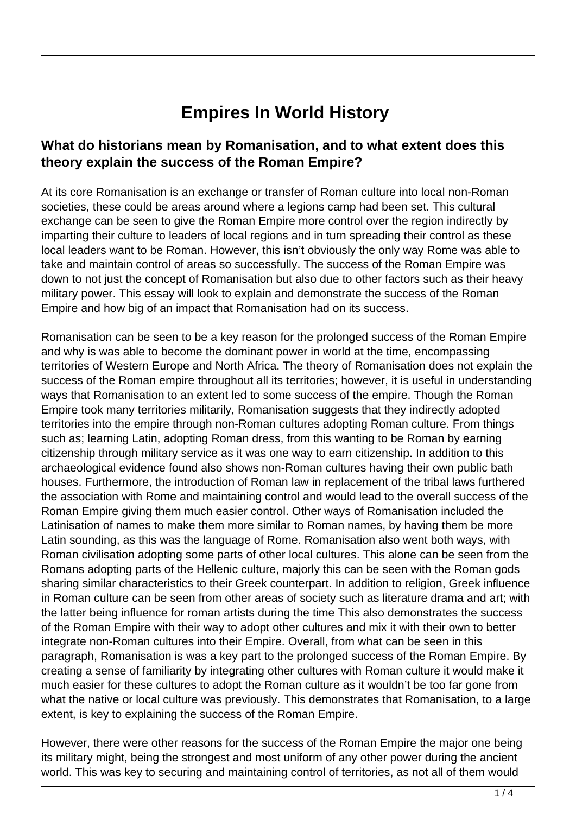## **Empires In World History**

## **What do historians mean by Romanisation, and to what extent does this theory explain the success of the Roman Empire?**

At its core Romanisation is an exchange or transfer of Roman culture into local non-Roman societies, these could be areas around where a legions camp had been set. This cultural exchange can be seen to give the Roman Empire more control over the region indirectly by imparting their culture to leaders of local regions and in turn spreading their control as these local leaders want to be Roman. However, this isn't obviously the only way Rome was able to take and maintain control of areas so successfully. The success of the Roman Empire was down to not just the concept of Romanisation but also due to other factors such as their heavy military power. This essay will look to explain and demonstrate the success of the Roman Empire and how big of an impact that Romanisation had on its success.

Romanisation can be seen to be a key reason for the prolonged success of the Roman Empire and why is was able to become the dominant power in world at the time, encompassing territories of Western Europe and North Africa. The theory of Romanisation does not explain the success of the Roman empire throughout all its territories; however, it is useful in understanding ways that Romanisation to an extent led to some success of the empire. Though the Roman Empire took many territories militarily, Romanisation suggests that they indirectly adopted territories into the empire through non-Roman cultures adopting Roman culture. From things such as; learning Latin, adopting Roman dress, from this wanting to be Roman by earning citizenship through military service as it was one way to earn citizenship. In addition to this archaeological evidence found also shows non-Roman cultures having their own public bath houses. Furthermore, the introduction of Roman law in replacement of the tribal laws furthered the association with Rome and maintaining control and would lead to the overall success of the Roman Empire giving them much easier control. Other ways of Romanisation included the Latinisation of names to make them more similar to Roman names, by having them be more Latin sounding, as this was the language of Rome. Romanisation also went both ways, with Roman civilisation adopting some parts of other local cultures. This alone can be seen from the Romans adopting parts of the Hellenic culture, majorly this can be seen with the Roman gods sharing similar characteristics to their Greek counterpart. In addition to religion, Greek influence in Roman culture can be seen from other areas of society such as literature drama and art; with the latter being influence for roman artists during the time This also demonstrates the success of the Roman Empire with their way to adopt other cultures and mix it with their own to better integrate non-Roman cultures into their Empire. Overall, from what can be seen in this paragraph, Romanisation is was a key part to the prolonged success of the Roman Empire. By creating a sense of familiarity by integrating other cultures with Roman culture it would make it much easier for these cultures to adopt the Roman culture as it wouldn't be too far gone from what the native or local culture was previously. This demonstrates that Romanisation, to a large extent, is key to explaining the success of the Roman Empire.

However, there were other reasons for the success of the Roman Empire the major one being its military might, being the strongest and most uniform of any other power during the ancient world. This was key to securing and maintaining control of territories, as not all of them would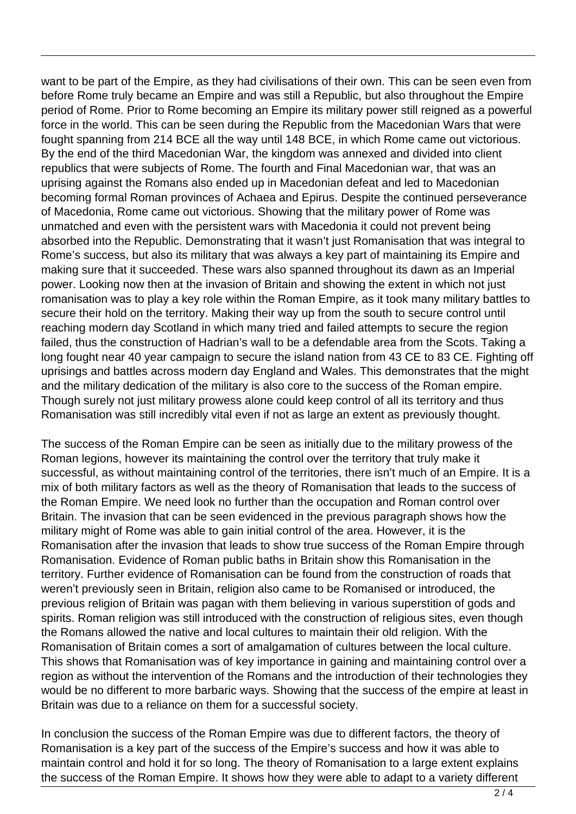want to be part of the Empire, as they had civilisations of their own. This can be seen even from before Rome truly became an Empire and was still a Republic, but also throughout the Empire period of Rome. Prior to Rome becoming an Empire its military power still reigned as a powerful force in the world. This can be seen during the Republic from the Macedonian Wars that were fought spanning from 214 BCE all the way until 148 BCE, in which Rome came out victorious. By the end of the third Macedonian War, the kingdom was annexed and divided into client republics that were subjects of Rome. The fourth and Final Macedonian war, that was an uprising against the Romans also ended up in Macedonian defeat and led to Macedonian becoming formal Roman provinces of Achaea and Epirus. Despite the continued perseverance of Macedonia, Rome came out victorious. Showing that the military power of Rome was unmatched and even with the persistent wars with Macedonia it could not prevent being absorbed into the Republic. Demonstrating that it wasn't just Romanisation that was integral to Rome's success, but also its military that was always a key part of maintaining its Empire and making sure that it succeeded. These wars also spanned throughout its dawn as an Imperial power. Looking now then at the invasion of Britain and showing the extent in which not just romanisation was to play a key role within the Roman Empire, as it took many military battles to secure their hold on the territory. Making their way up from the south to secure control until reaching modern day Scotland in which many tried and failed attempts to secure the region failed, thus the construction of Hadrian's wall to be a defendable area from the Scots. Taking a long fought near 40 year campaign to secure the island nation from 43 CE to 83 CE. Fighting off uprisings and battles across modern day England and Wales. This demonstrates that the might and the military dedication of the military is also core to the success of the Roman empire. Though surely not just military prowess alone could keep control of all its territory and thus Romanisation was still incredibly vital even if not as large an extent as previously thought.

The success of the Roman Empire can be seen as initially due to the military prowess of the Roman legions, however its maintaining the control over the territory that truly make it successful, as without maintaining control of the territories, there isn't much of an Empire. It is a mix of both military factors as well as the theory of Romanisation that leads to the success of the Roman Empire. We need look no further than the occupation and Roman control over Britain. The invasion that can be seen evidenced in the previous paragraph shows how the military might of Rome was able to gain initial control of the area. However, it is the Romanisation after the invasion that leads to show true success of the Roman Empire through Romanisation. Evidence of Roman public baths in Britain show this Romanisation in the territory. Further evidence of Romanisation can be found from the construction of roads that weren't previously seen in Britain, religion also came to be Romanised or introduced, the previous religion of Britain was pagan with them believing in various superstition of gods and spirits. Roman religion was still introduced with the construction of religious sites, even though the Romans allowed the native and local cultures to maintain their old religion. With the Romanisation of Britain comes a sort of amalgamation of cultures between the local culture. This shows that Romanisation was of key importance in gaining and maintaining control over a region as without the intervention of the Romans and the introduction of their technologies they would be no different to more barbaric ways. Showing that the success of the empire at least in Britain was due to a reliance on them for a successful society.

In conclusion the success of the Roman Empire was due to different factors, the theory of Romanisation is a key part of the success of the Empire's success and how it was able to maintain control and hold it for so long. The theory of Romanisation to a large extent explains the success of the Roman Empire. It shows how they were able to adapt to a variety different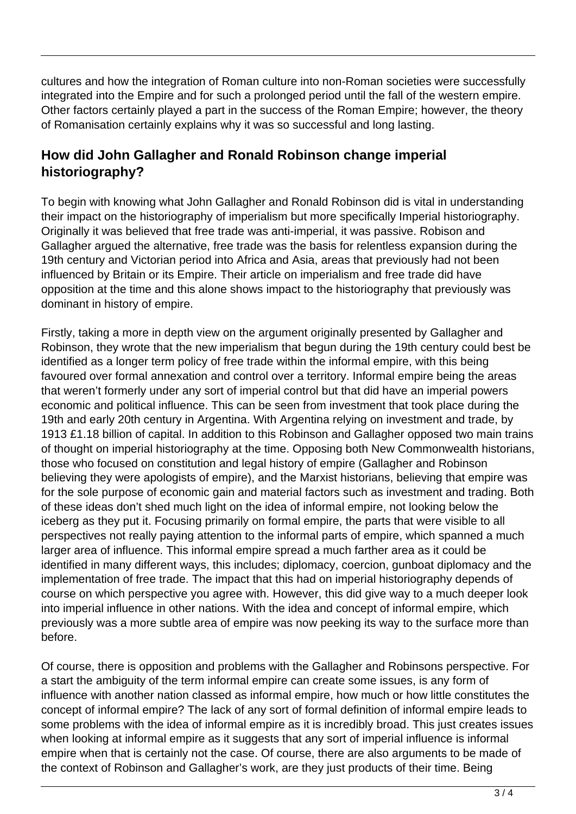cultures and how the integration of Roman culture into non-Roman societies were successfully integrated into the Empire and for such a prolonged period until the fall of the western empire. Other factors certainly played a part in the success of the Roman Empire; however, the theory of Romanisation certainly explains why it was so successful and long lasting.

## **How did John Gallagher and Ronald Robinson change imperial historiography?**

To begin with knowing what John Gallagher and Ronald Robinson did is vital in understanding their impact on the historiography of imperialism but more specifically Imperial historiography. Originally it was believed that free trade was anti-imperial, it was passive. Robison and Gallagher argued the alternative, free trade was the basis for relentless expansion during the 19th century and Victorian period into Africa and Asia, areas that previously had not been influenced by Britain or its Empire. Their article on imperialism and free trade did have opposition at the time and this alone shows impact to the historiography that previously was dominant in history of empire.

Firstly, taking a more in depth view on the argument originally presented by Gallagher and Robinson, they wrote that the new imperialism that begun during the 19th century could best be identified as a longer term policy of free trade within the informal empire, with this being favoured over formal annexation and control over a territory. Informal empire being the areas that weren't formerly under any sort of imperial control but that did have an imperial powers economic and political influence. This can be seen from investment that took place during the 19th and early 20th century in Argentina. With Argentina relying on investment and trade, by 1913 £1.18 billion of capital. In addition to this Robinson and Gallagher opposed two main trains of thought on imperial historiography at the time. Opposing both New Commonwealth historians, those who focused on constitution and legal history of empire (Gallagher and Robinson believing they were apologists of empire), and the Marxist historians, believing that empire was for the sole purpose of economic gain and material factors such as investment and trading. Both of these ideas don't shed much light on the idea of informal empire, not looking below the iceberg as they put it. Focusing primarily on formal empire, the parts that were visible to all perspectives not really paying attention to the informal parts of empire, which spanned a much larger area of influence. This informal empire spread a much farther area as it could be identified in many different ways, this includes; diplomacy, coercion, gunboat diplomacy and the implementation of free trade. The impact that this had on imperial historiography depends of course on which perspective you agree with. However, this did give way to a much deeper look into imperial influence in other nations. With the idea and concept of informal empire, which previously was a more subtle area of empire was now peeking its way to the surface more than before.

Of course, there is opposition and problems with the Gallagher and Robinsons perspective. For a start the ambiguity of the term informal empire can create some issues, is any form of influence with another nation classed as informal empire, how much or how little constitutes the concept of informal empire? The lack of any sort of formal definition of informal empire leads to some problems with the idea of informal empire as it is incredibly broad. This just creates issues when looking at informal empire as it suggests that any sort of imperial influence is informal empire when that is certainly not the case. Of course, there are also arguments to be made of the context of Robinson and Gallagher's work, are they just products of their time. Being